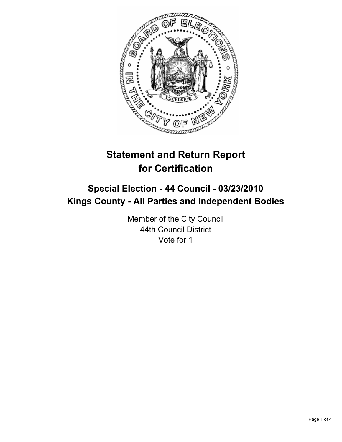

# **Statement and Return Report for Certification**

# **Special Election - 44 Council - 03/23/2010 Kings County - All Parties and Independent Bodies**

Member of the City Council 44th Council District Vote for 1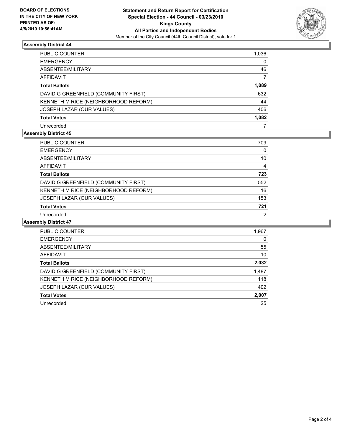

## **Assembly District 44**

| PUBLIC COUNTER                       | 1,036 |
|--------------------------------------|-------|
| EMERGENCY                            | 0     |
| ABSENTEE/MILITARY                    | 46    |
| AFFIDAVIT                            | 7     |
| <b>Total Ballots</b>                 | 1,089 |
| DAVID G GREENFIELD (COMMUNITY FIRST) | 632   |
| KENNETH M RICE (NEIGHBORHOOD REFORM) | 44    |
| JOSEPH LAZAR (OUR VALUES)            | 406   |
| Total Votes                          | 1,082 |
| Unrecorded                           | 7     |

## **Assembly District 45**

| <b>PUBLIC COUNTER</b>                | 709 |
|--------------------------------------|-----|
| <b>EMERGENCY</b>                     | 0   |
| ABSENTEE/MILITARY                    | 10  |
| <b>AFFIDAVIT</b>                     | 4   |
| <b>Total Ballots</b>                 | 723 |
| DAVID G GREENFIELD (COMMUNITY FIRST) | 552 |
| KENNETH M RICE (NEIGHBORHOOD REFORM) | 16  |
| JOSEPH LAZAR (OUR VALUES)            | 153 |
| <b>Total Votes</b>                   | 721 |
| Unrecorded                           | 2   |

## **Assembly District 47**

| <b>PUBLIC COUNTER</b>                | 1,967 |
|--------------------------------------|-------|
| <b>EMERGENCY</b>                     | 0     |
| ABSENTEE/MILITARY                    | 55    |
| AFFIDAVIT                            | 10    |
| <b>Total Ballots</b>                 | 2,032 |
| DAVID G GREENFIELD (COMMUNITY FIRST) | 1,487 |
| KENNETH M RICE (NEIGHBORHOOD REFORM) | 118   |
| JOSEPH LAZAR (OUR VALUES)            | 402   |
| <b>Total Votes</b>                   | 2,007 |
| Unrecorded                           | 25    |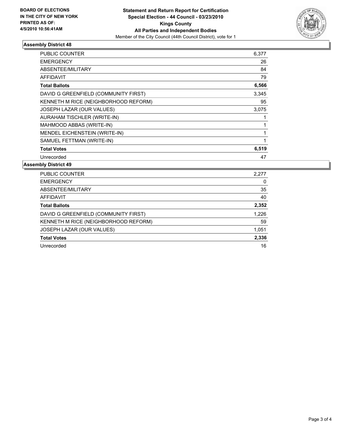

## **Assembly District 48**

| PUBLIC COUNTER                       | 6,377 |
|--------------------------------------|-------|
| <b>EMERGENCY</b>                     | 26    |
| ABSENTEE/MILITARY                    | 84    |
| <b>AFFIDAVIT</b>                     | 79    |
| <b>Total Ballots</b>                 | 6,566 |
| DAVID G GREENFIELD (COMMUNITY FIRST) | 3,345 |
| KENNETH M RICE (NEIGHBORHOOD REFORM) | 95    |
| JOSEPH LAZAR (OUR VALUES)            | 3.075 |
| AURAHAM TISCHLER (WRITE-IN)          | 1     |
| MAHMOOD ABBAS (WRITE-IN)             | 1     |
| MENDEL EICHENSTEIN (WRITE-IN)        |       |
| SAMUEL FETTMAN (WRITE-IN)            | 1     |
| <b>Total Votes</b>                   | 6,519 |
| Unrecorded                           | 47    |

#### **Assembly District 49**

| <b>PUBLIC COUNTER</b>                | 2,277 |
|--------------------------------------|-------|
| <b>EMERGENCY</b>                     | 0     |
| ABSENTEE/MILITARY                    | 35    |
| AFFIDAVIT                            | 40    |
| <b>Total Ballots</b>                 | 2,352 |
| DAVID G GREENFIELD (COMMUNITY FIRST) | 1,226 |
| KENNETH M RICE (NEIGHBORHOOD REFORM) | 59    |
| JOSEPH LAZAR (OUR VALUES)            | 1,051 |
| <b>Total Votes</b>                   | 2,336 |
| Unrecorded                           | 16    |